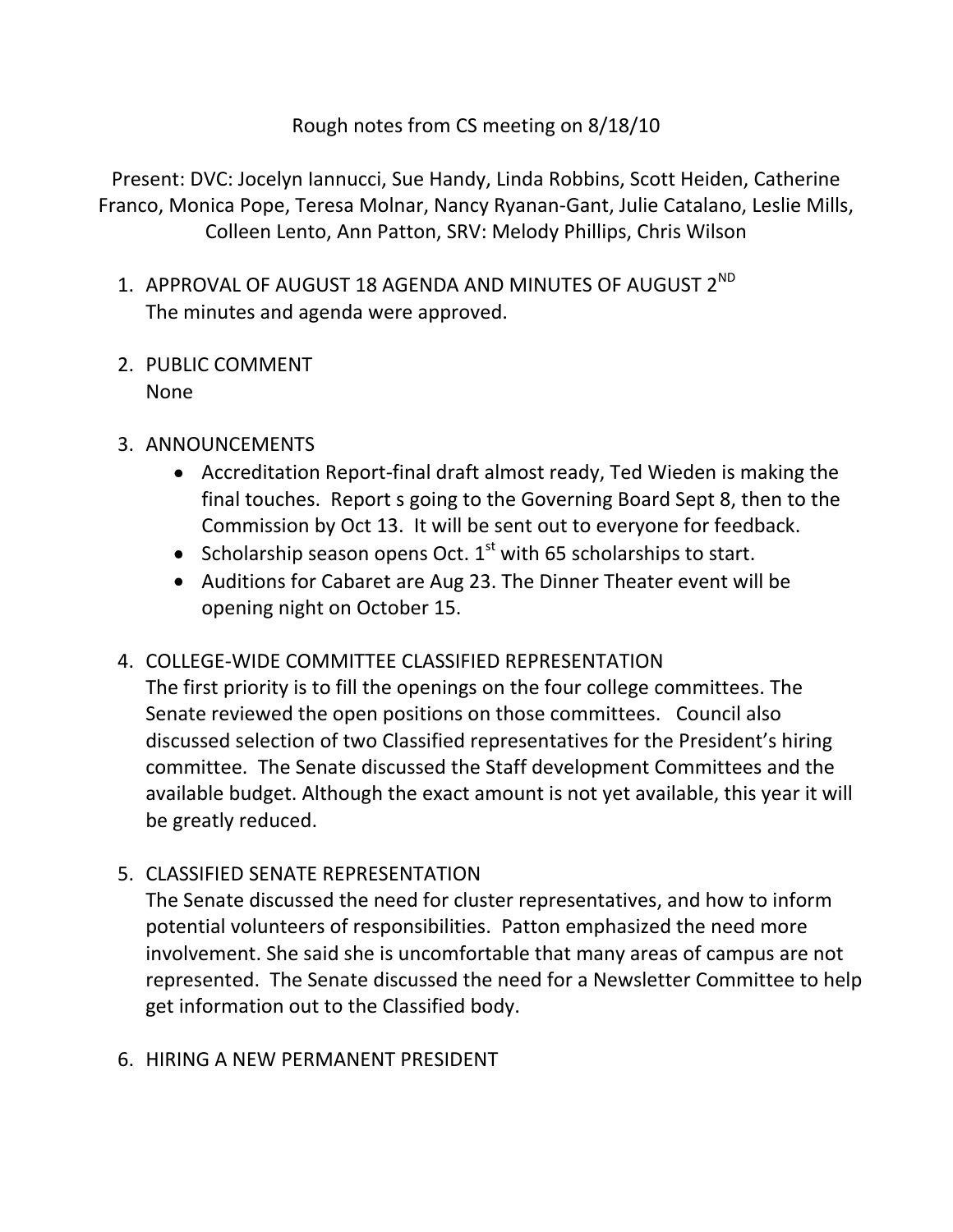Rough notes from CS meeting on 8/18/10

Present: DVC: Jocelyn Iannucci, Sue Handy, Linda Robbins, Scott Heiden, Catherine Franco, Monica Pope, Teresa Molnar, Nancy Ryanan-Gant, Julie Catalano, Leslie Mills, Colleen Lento, Ann Patton, SRV: Melody Phillips, Chris Wilson

- 1. APPROVAL OF AUGUST 18 AGENDA AND MINUTES OF AUGUST 2<sup>ND</sup> The minutes and agenda were approved.
- 2. PUBLIC COMMENT None
- 3. ANNOUNCEMENTS
	- Accreditation Report-final draft almost ready, Ted Wieden is making the final touches. Report s going to the Governing Board Sept 8, then to the Commission by Oct 13. It will be sent out to everyone for feedback.
	- Scholarship season opens Oct.  $1^{st}$  with 65 scholarships to start.
	- Auditions for Cabaret are Aug 23. The Dinner Theater event will be opening night on October 15.

## 4. COLLEGE-WIDE COMMITTEE CLASSIFIED REPRESENTATION

The first priority is to fill the openings on the four college committees. The Senate reviewed the open positions on those committees. Council also discussed selection of two Classified representatives for the President's hiring committee. The Senate discussed the Staff development Committees and the available budget. Although the exact amount is not yet available, this year it will be greatly reduced.

5. CLASSIFIED SENATE REPRESENTATION

The Senate discussed the need for cluster representatives, and how to inform potential volunteers of responsibilities. Patton emphasized the need more involvement. She said she is uncomfortable that many areas of campus are not represented. The Senate discussed the need for a Newsletter Committee to help get information out to the Classified body.

## 6. HIRING A NEW PERMANENT PRESIDENT